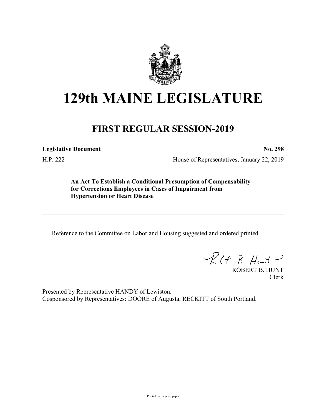

# **129th MAINE LEGISLATURE**

## **FIRST REGULAR SESSION-2019**

**Legislative Document No. 298**

H.P. 222 House of Representatives, January 22, 2019

**An Act To Establish a Conditional Presumption of Compensability for Corrections Employees in Cases of Impairment from Hypertension or Heart Disease**

Reference to the Committee on Labor and Housing suggested and ordered printed.

 $R(H B. H<sub>un</sub>+)$ 

ROBERT B. HUNT Clerk

Presented by Representative HANDY of Lewiston. Cosponsored by Representatives: DOORE of Augusta, RECKITT of South Portland.